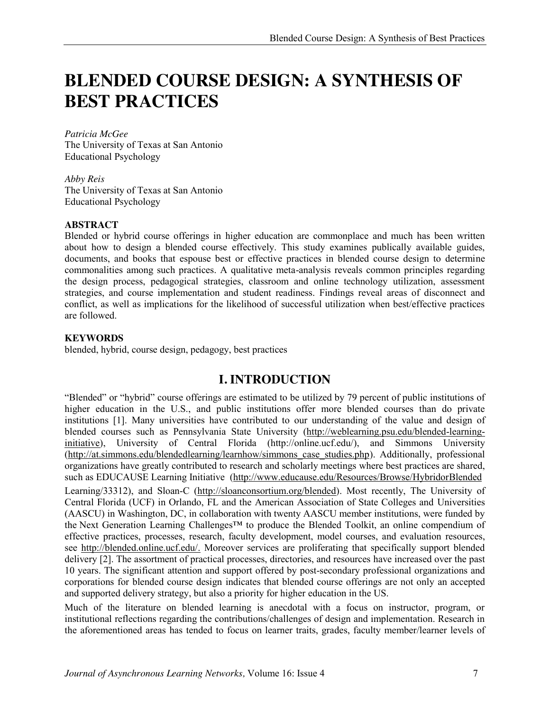# **BLENDED COURSE DESIGN: A SYNTHESIS OF BEST PRACTICES**

*Patricia McGee* The University of Texas at San Antonio Educational Psychology

*Abby Reis* The University of Texas at San Antonio Educational Psychology

#### **ABSTRACT**

Blended or hybrid course offerings in higher education are commonplace and much has been written about how to design a blended course effectively. This study examines publically available guides, documents, and books that espouse best or effective practices in blended course design to determine commonalities among such practices. A qualitative meta-analysis reveals common principles regarding the design process, pedagogical strategies, classroom and online technology utilization, assessment strategies, and course implementation and student readiness. Findings reveal areas of disconnect and conflict, as well as implications for the likelihood of successful utilization when best/effective practices are followed.

#### **KEYWORDS**

blended, hybrid, course design, pedagogy, best practices

## **I. INTRODUCTION**

"Blended" or "hybrid" course offerings are estimated to be utilized by 79 percent of public institutions of higher education in the U.S., and public institutions offer more blended courses than do private institutions [1]. Many universities have contributed to our understanding of the value and design of blended courses such as Pennsylvania State University (http://weblearning.psu.edu/blended-learninginitiative), University of Central Florida (http://online.ucf.edu/), and Simmons University (http://at.simmons.edu/blendedlearning/learnhow/simmons\_case\_studies.php). Additionally, professional organizations have greatly contributed to research and scholarly meetings where best practices are shared, such as EDUCAUSE Learning Initiative (http://www.educause.edu/Resources/Browse/HybridorBlended

Learning/33312), and Sloan-C (http://sloanconsortium.org/blended). Most recently, The University of Central Florida (UCF) in Orlando, FL and the American Association of State Colleges and Universities (AASCU) in Washington, DC, in collaboration with twenty AASCU member institutions, were funded by the Next Generation Learning Challenges™ to produce the Blended Toolkit, an online compendium of effective practices, processes, research, faculty development, model courses, and evaluation resources, see http://blended.online.ucf.edu/. Moreover services are proliferating that specifically support blended delivery [2]. The assortment of practical processes, directories, and resources have increased over the past 10 years. The significant attention and support offered by post-secondary professional organizations and corporations for blended course design indicates that blended course offerings are not only an accepted and supported delivery strategy, but also a priority for higher education in the US.

Much of the literature on blended learning is anecdotal with a focus on instructor, program, or institutional reflections regarding the contributions/challenges of design and implementation. Research in the aforementioned areas has tended to focus on learner traits, grades, faculty member/learner levels of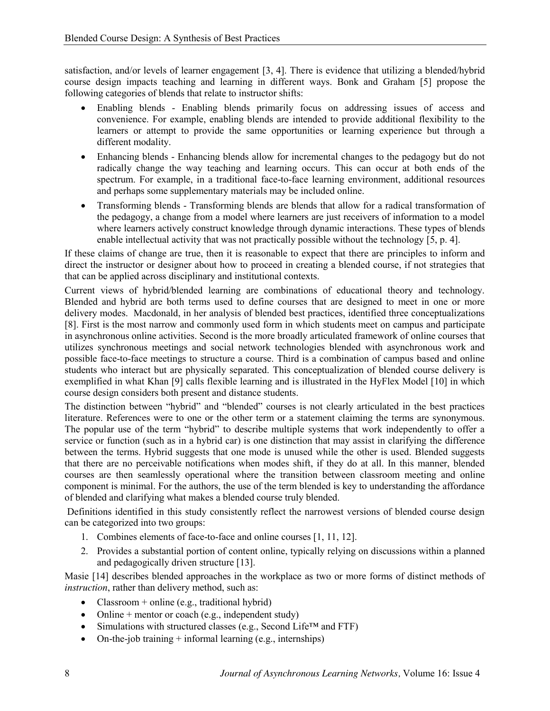satisfaction, and/or levels of learner engagement [3, 4]. There is evidence that utilizing a blended/hybrid course design impacts teaching and learning in different ways. Bonk and Graham [5] propose the following categories of blends that relate to instructor shifts:

- Enabling blends Enabling blends primarily focus on addressing issues of access and convenience. For example, enabling blends are intended to provide additional flexibility to the learners or attempt to provide the same opportunities or learning experience but through a different modality.
- Enhancing blends Enhancing blends allow for incremental changes to the pedagogy but do not radically change the way teaching and learning occurs. This can occur at both ends of the spectrum. For example, in a traditional face-to-face learning environment, additional resources and perhaps some supplementary materials may be included online.
- Transforming blends Transforming blends are blends that allow for a radical transformation of the pedagogy, a change from a model where learners are just receivers of information to a model where learners actively construct knowledge through dynamic interactions. These types of blends enable intellectual activity that was not practically possible without the technology [5, p. 4].

If these claims of change are true, then it is reasonable to expect that there are principles to inform and direct the instructor or designer about how to proceed in creating a blended course, if not strategies that that can be applied across disciplinary and institutional contexts.

Current views of hybrid/blended learning are combinations of educational theory and technology. Blended and hybrid are both terms used to define courses that are designed to meet in one or more delivery modes. Macdonald, in her analysis of blended best practices, identified three conceptualizations [8]. First is the most narrow and commonly used form in which students meet on campus and participate in asynchronous online activities. Second is the more broadly articulated framework of online courses that utilizes synchronous meetings and social network technologies blended with asynchronous work and possible face-to-face meetings to structure a course. Third is a combination of campus based and online students who interact but are physically separated. This conceptualization of blended course delivery is exemplified in what Khan [9] calls flexible learning and is illustrated in the HyFlex Model [10] in which course design considers both present and distance students.

The distinction between "hybrid" and "blended" courses is not clearly articulated in the best practices literature. References were to one or the other term or a statement claiming the terms are synonymous. The popular use of the term "hybrid" to describe multiple systems that work independently to offer a service or function (such as in a hybrid car) is one distinction that may assist in clarifying the difference between the terms. Hybrid suggests that one mode is unused while the other is used. Blended suggests that there are no perceivable notifications when modes shift, if they do at all. In this manner, blended courses are then seamlessly operational where the transition between classroom meeting and online component is minimal. For the authors, the use of the term blended is key to understanding the affordance of blended and clarifying what makes a blended course truly blended.

Definitions identified in this study consistently reflect the narrowest versions of blended course design can be categorized into two groups:

- 1. Combines elements of face-to-face and online courses [1, 11, 12].
- 2. Provides a substantial portion of content online, typically relying on discussions within a planned and pedagogically driven structure [13].

Masie [14] describes blended approaches in the workplace as two or more forms of distinct methods of *instruction*, rather than delivery method, such as:

- Classroom + online (e.g., traditional hybrid)
- Online + mentor or coach (e.g., independent study)
- Simulations with structured classes (e.g., Second Life™ and FTF)
- On-the-job training  $+$  informal learning (e.g., internships)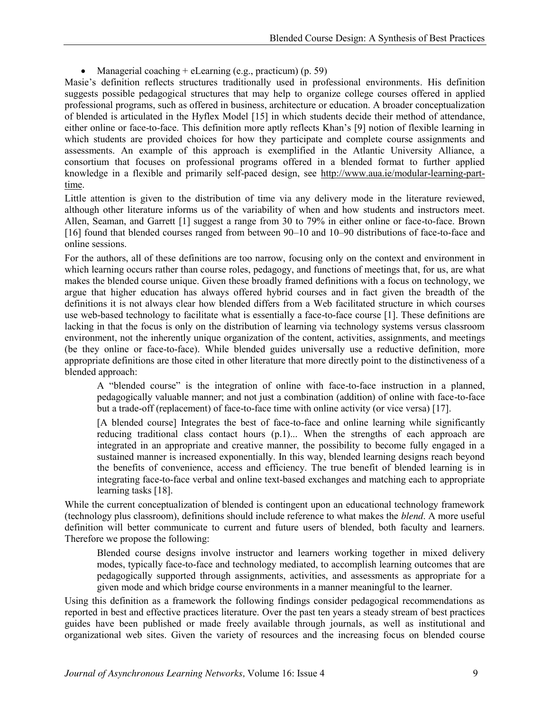• Managerial coaching  $+$  eLearning (e.g., practicum) (p. 59)

Masie's definition reflects structures traditionally used in professional environments. His definition suggests possible pedagogical structures that may help to organize college courses offered in applied professional programs, such as offered in business, architecture or education. A broader conceptualization of blended is articulated in the Hyflex Model [15] in which students decide their method of attendance, either online or face-to-face. This definition more aptly reflects Khan's [9] notion of flexible learning in which students are provided choices for how they participate and complete course assignments and assessments. An example of this approach is exemplified in the Atlantic University Alliance, a consortium that focuses on professional programs offered in a blended format to further applied knowledge in a flexible and primarily self-paced design, see http://www.aua.ie/modular-learning-parttime.

Little attention is given to the distribution of time via any delivery mode in the literature reviewed, although other literature informs us of the variability of when and how students and instructors meet. Allen, Seaman, and Garrett [1] suggest a range from 30 to 79% in either online or face-to-face. Brown [16] found that blended courses ranged from between 90–10 and 10–90 distributions of face-to-face and online sessions.

For the authors, all of these definitions are too narrow, focusing only on the context and environment in which learning occurs rather than course roles, pedagogy, and functions of meetings that, for us, are what makes the blended course unique. Given these broadly framed definitions with a focus on technology, we argue that higher education has always offered hybrid courses and in fact given the breadth of the definitions it is not always clear how blended differs from a Web facilitated structure in which courses use web-based technology to facilitate what is essentially a face-to-face course [1]. These definitions are lacking in that the focus is only on the distribution of learning via technology systems versus classroom environment, not the inherently unique organization of the content, activities, assignments, and meetings (be they online or face-to-face). While blended guides universally use a reductive definition, more appropriate definitions are those cited in other literature that more directly point to the distinctiveness of a blended approach:

A "blended course" is the integration of online with face-to-face instruction in a planned, pedagogically valuable manner; and not just a combination (addition) of online with face-to-face but a trade-off (replacement) of face-to-face time with online activity (or vice versa) [17].

[A blended course] Integrates the best of face-to-face and online learning while significantly reducing traditional class contact hours (p.1)... When the strengths of each approach are integrated in an appropriate and creative manner, the possibility to become fully engaged in a sustained manner is increased exponentially. In this way, blended learning designs reach beyond the benefits of convenience, access and efficiency. The true benefit of blended learning is in integrating face-to-face verbal and online text-based exchanges and matching each to appropriate learning tasks [18].

While the current conceptualization of blended is contingent upon an educational technology framework (technology plus classroom), definitions should include reference to what makes the *blend*. A more useful definition will better communicate to current and future users of blended, both faculty and learners. Therefore we propose the following:

Blended course designs involve instructor and learners working together in mixed delivery modes, typically face-to-face and technology mediated, to accomplish learning outcomes that are pedagogically supported through assignments, activities, and assessments as appropriate for a given mode and which bridge course environments in a manner meaningful to the learner.

Using this definition as a framework the following findings consider pedagogical recommendations as reported in best and effective practices literature. Over the past ten years a steady stream of best practices guides have been published or made freely available through journals, as well as institutional and organizational web sites. Given the variety of resources and the increasing focus on blended course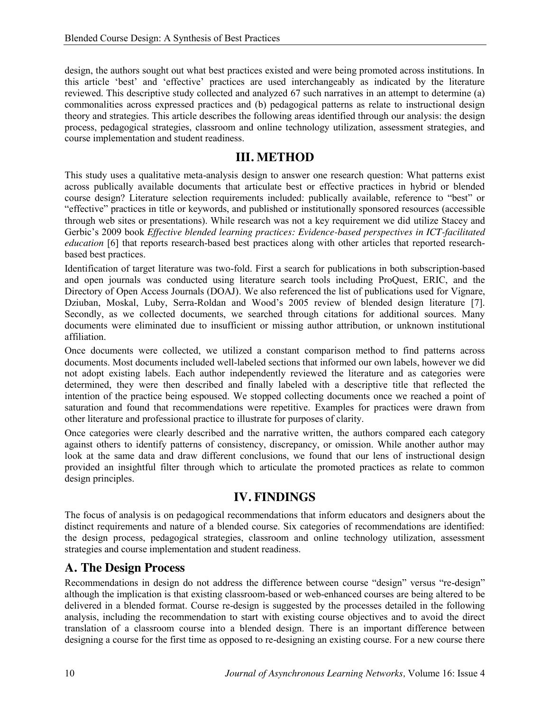design, the authors sought out what best practices existed and were being promoted across institutions. In this article 'best' and 'effective' practices are used interchangeably as indicated by the literature reviewed. This descriptive study collected and analyzed 67 such narratives in an attempt to determine (a) commonalities across expressed practices and (b) pedagogical patterns as relate to instructional design theory and strategies. This article describes the following areas identified through our analysis: the design process, pedagogical strategies, classroom and online technology utilization, assessment strategies, and course implementation and student readiness.

#### **III. METHOD**

This study uses a qualitative meta-analysis design to answer one research question: What patterns exist across publically available documents that articulate best or effective practices in hybrid or blended course design? Literature selection requirements included: publically available, reference to "best" or "effective" practices in title or keywords, and published or institutionally sponsored resources (accessible through web sites or presentations). While research was not a key requirement we did utilize Stacey and Gerbic's 2009 book *Effective blended learning practices: Evidence-based perspectives in ICT-facilitated education* [6] that reports research-based best practices along with other articles that reported researchbased best practices.

Identification of target literature was two-fold. First a search for publications in both subscription-based and open journals was conducted using literature search tools including ProQuest, ERIC, and the Directory of Open Access Journals (DOAJ). We also referenced the list of publications used for Vignare, Dziuban, Moskal, Luby, Serra-Roldan and Wood's 2005 review of blended design literature [7]. Secondly, as we collected documents, we searched through citations for additional sources. Many documents were eliminated due to insufficient or missing author attribution, or unknown institutional affiliation.

Once documents were collected, we utilized a constant comparison method to find patterns across documents. Most documents included well-labeled sections that informed our own labels, however we did not adopt existing labels. Each author independently reviewed the literature and as categories were determined, they were then described and finally labeled with a descriptive title that reflected the intention of the practice being espoused. We stopped collecting documents once we reached a point of saturation and found that recommendations were repetitive. Examples for practices were drawn from other literature and professional practice to illustrate for purposes of clarity.

Once categories were clearly described and the narrative written, the authors compared each category against others to identify patterns of consistency, discrepancy, or omission. While another author may look at the same data and draw different conclusions, we found that our lens of instructional design provided an insightful filter through which to articulate the promoted practices as relate to common design principles.

## **IV. FINDINGS**

The focus of analysis is on pedagogical recommendations that inform educators and designers about the distinct requirements and nature of a blended course. Six categories of recommendations are identified: the design process, pedagogical strategies, classroom and online technology utilization, assessment strategies and course implementation and student readiness.

## **A. The Design Process**

Recommendations in design do not address the difference between course "design" versus "re-design" although the implication is that existing classroom-based or web-enhanced courses are being altered to be delivered in a blended format. Course re-design is suggested by the processes detailed in the following analysis, including the recommendation to start with existing course objectives and to avoid the direct translation of a classroom course into a blended design. There is an important difference between designing a course for the first time as opposed to re-designing an existing course. For a new course there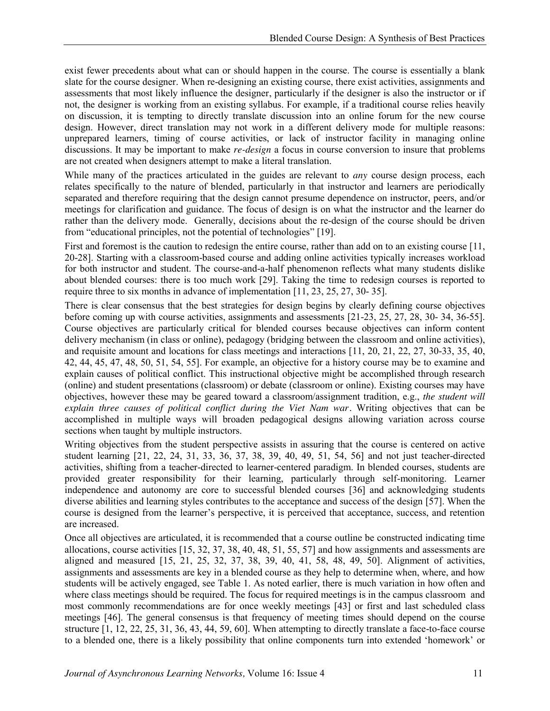exist fewer precedents about what can or should happen in the course. The course is essentially a blank slate for the course designer. When re-designing an existing course, there exist activities, assignments and assessments that most likely influence the designer, particularly if the designer is also the instructor or if not, the designer is working from an existing syllabus. For example, if a traditional course relies heavily on discussion, it is tempting to directly translate discussion into an online forum for the new course design. However, direct translation may not work in a different delivery mode for multiple reasons: unprepared learners, timing of course activities, or lack of instructor facility in managing online discussions. It may be important to make *re-design* a focus in course conversion to insure that problems are not created when designers attempt to make a literal translation.

While many of the practices articulated in the guides are relevant to *any* course design process, each relates specifically to the nature of blended, particularly in that instructor and learners are periodically separated and therefore requiring that the design cannot presume dependence on instructor, peers, and/or meetings for clarification and guidance. The focus of design is on what the instructor and the learner do rather than the delivery mode. Generally, decisions about the re-design of the course should be driven from "educational principles, not the potential of technologies" [19].

First and foremost is the caution to redesign the entire course, rather than add on to an existing course [11, 20-28]. Starting with a classroom-based course and adding online activities typically increases workload for both instructor and student. The course-and-a-half phenomenon reflects what many students dislike about blended courses: there is too much work [29]. Taking the time to redesign courses is reported to require three to six months in advance of implementation [11, 23, 25, 27, 30- 35].

There is clear consensus that the best strategies for design begins by clearly defining course objectives before coming up with course activities, assignments and assessments [21-23, 25, 27, 28, 30- 34, 36-55]. Course objectives are particularly critical for blended courses because objectives can inform content delivery mechanism (in class or online), pedagogy (bridging between the classroom and online activities), and requisite amount and locations for class meetings and interactions [11, 20, 21, 22, 27, 30-33, 35, 40, 42, 44, 45, 47, 48, 50, 51, 54, 55]. For example, an objective for a history course may be to examine and explain causes of political conflict. This instructional objective might be accomplished through research (online) and student presentations (classroom) or debate (classroom or online). Existing courses may have objectives, however these may be geared toward a classroom/assignment tradition, e.g., *the student will explain three causes of political conflict during the Viet Nam war.* Writing objectives that can be accomplished in multiple ways will broaden pedagogical designs allowing variation across course sections when taught by multiple instructors.

Writing objectives from the student perspective assists in assuring that the course is centered on active student learning [21, 22, 24, 31, 33, 36, 37, 38, 39, 40, 49, 51, 54, 56] and not just teacher-directed activities, shifting from a teacher-directed to learner-centered paradigm. In blended courses, students are provided greater responsibility for their learning, particularly through self-monitoring. Learner independence and autonomy are core to successful blended courses [36] and acknowledging students diverse abilities and learning styles contributes to the acceptance and success of the design [57]. When the course is designed from the learner's perspective, it is perceived that acceptance, success, and retention are increased.

Once all objectives are articulated, it is recommended that a course outline be constructed indicating time allocations, course activities [15, 32, 37, 38, 40, 48, 51, 55, 57] and how assignments and assessments are aligned and measured [15, 21, 25, 32, 37, 38, 39, 40, 41, 58, 48, 49, 50]. Alignment of activities, assignments and assessments are key in a blended course as they help to determine when, where, and how students will be actively engaged, see Table 1. As noted earlier, there is much variation in how often and where class meetings should be required. The focus for required meetings is in the campus classroom and most commonly recommendations are for once weekly meetings [43] or first and last scheduled class meetings [46]. The general consensus is that frequency of meeting times should depend on the course structure [1, 12, 22, 25, 31, 36, 43, 44, 59, 60]. When attempting to directly translate a face-to-face course to a blended one, there is a likely possibility that online components turn into extended 'homework' or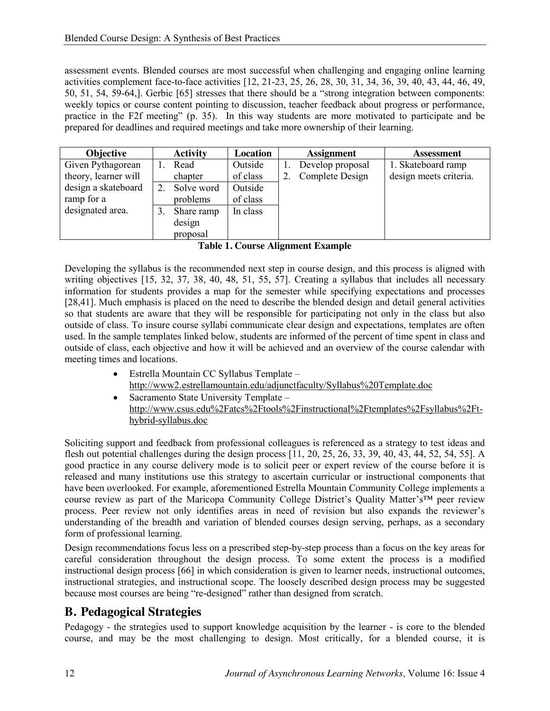assessment events. Blended courses are most successful when challenging and engaging online learning activities complement face-to-face activities [12, 21-23, 25, 26, 28, 30, 31, 34, 36, 39, 40, 43, 44, 46, 49, 50, 51, 54, 59-64,]. Gerbic [65] stresses that there should be a "strong integration between components: weekly topics or course content pointing to discussion, teacher feedback about progress or performance, practice in the F2f meeting" (p. 35). In this way students are more motivated to participate and be prepared for deadlines and required meetings and take more ownership of their learning.

| <b>Objective</b>     | <b>Activity</b> | Location |    | <b>Assignment</b> | <b>Assessment</b>      |
|----------------------|-----------------|----------|----|-------------------|------------------------|
| Given Pythagorean    | Read            | Outside  |    | Develop proposal  | 1. Skateboard ramp     |
| theory, learner will | chapter         | of class | 2. | Complete Design   | design meets criteria. |
| design a skateboard  | Solve word      | Outside  |    |                   |                        |
| ramp for a           | problems        | of class |    |                   |                        |
| designated area.     | Share ramp      | In class |    |                   |                        |
|                      | design          |          |    |                   |                        |
|                      | proposal        |          |    |                   |                        |

**Table 1. Course Alignment Example**

Developing the syllabus is the recommended next step in course design, and this process is aligned with writing objectives [15, 32, 37, 38, 40, 48, 51, 55, 57]. Creating a syllabus that includes all necessary information for students provides a map for the semester while specifying expectations and processes [28,41]. Much emphasis is placed on the need to describe the blended design and detail general activities so that students are aware that they will be responsible for participating not only in the class but also outside of class. To insure course syllabi communicate clear design and expectations, templates are often used. In the sample templates linked below, students are informed of the percent of time spent in class and outside of class, each objective and how it will be achieved and an overview of the course calendar with meeting times and locations.

- $\bullet$  Estrella Mountain CC Syllabus Template http://www2.estrellamountain.edu/adjunctfaculty/Syllabus%20Template.doc
- $\bullet$  Sacramento State University Template http://www.csus.edu%2Fatcs%2Ftools%2Finstructional%2Ftemplates%2Fsyllabus%2Fthybrid-syllabus.doc

Soliciting support and feedback from professional colleagues is referenced as a strategy to test ideas and flesh out potential challenges during the design process [11, 20, 25, 26, 33, 39, 40, 43, 44, 52, 54, 55]. A good practice in any course delivery mode is to solicit peer or expert review of the course before it is released and many institutions use this strategy to ascertain curricular or instructional components that have been overlooked. For example, aforementioned Estrella Mountain Community College implements a course review as part of the Maricopa Community College District's Quality Matter's™ peer review process. Peer review not only identifies areas in need of revision but also expands the reviewer's understanding of the breadth and variation of blended courses design serving, perhaps, as a secondary form of professional learning.

Design recommendations focus less on a prescribed step-by-step process than a focus on the key areas for careful consideration throughout the design process. To some extent the process is a modified instructional design process [66] in which consideration is given to learner needs, instructional outcomes, instructional strategies, and instructional scope. The loosely described design process may be suggested because most courses are being "re-designed" rather than designed from scratch.

# **B. Pedagogical Strategies**

Pedagogy - the strategies used to support knowledge acquisition by the learner - is core to the blended course, and may be the most challenging to design. Most critically, for a blended course, it is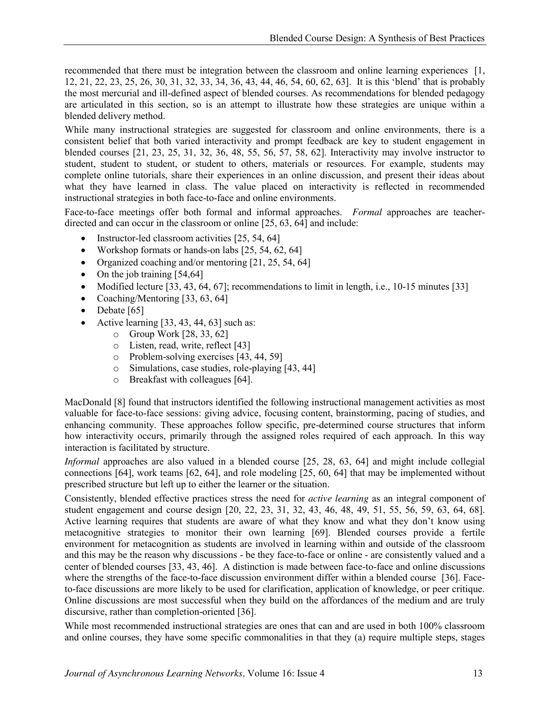recommended that there must be integration between the classroom and online learning experiences [1, 12, 21, 22, 23, 25, 26, 30, 31, 32, 33, 34, 36, 43, 44, 46, 54, 60, 62, 63]. It is this 'blend' that is probably the most mercurial and ill-defined aspect of blended courses. As recommendations for blended pedagogy are articulated in this section, so is an attempt to illustrate how these strategies are unique within a blended delivery method.

While many instructional strategies are suggested for classroom and online environments, there is a consistent belief that both varied interactivity and prompt feedback are key to student engagement in blended courses [21, 23, 25, 31, 32, 36, 48, 55, 56, 57, 58, 62]. Interactivity may involve instructor to student, student to student, or student to others, materials or resources. For example, students may complete online tutorials, share their experiences in an online discussion, and present their ideas about what they have learned in class. The value placed on interactivity is reflected in recommended instructional strategies in both face-to-face and online environments.

Face-to-face meetings offer both formal and informal approaches. *Formal* approaches are teacherdirected and can occur in the classroom or online [25, 63, 64] and include:

- Instructor-led classroom activities [25, 54, 64]
- Workshop formats or hands-on labs  $[25, 54, 62, 64]$
- Organized coaching and/or mentoring  $[21, 25, 54, 64]$
- On the job training  $[54,64]$
- Modified lecture  $[33, 43, 64, 67]$ ; recommendations to limit in length, i.e., 10-15 minutes  $[33]$
- Coaching/Mentoring  $[33, 63, 64]$
- $\bullet$  Debate [65]
- Active learning  $[33, 43, 44, 63]$  such as:
	- o Group Work [28, 33, 62]
	- o Listen, read, write, reflect [43]
	- o Problem-solving exercises [43, 44, 59]
	- o Simulations, case studies, role-playing [43, 44]
	- o Breakfast with colleagues [64].

MacDonald [8] found that instructors identified the following instructional management activities as most valuable for face-to-face sessions: giving advice, focusing content, brainstorming, pacing of studies, and enhancing community. These approaches follow specific, pre-determined course structures that inform how interactivity occurs, primarily through the assigned roles required of each approach. In this way interaction is facilitated by structure.

*Informal* approaches are also valued in a blended course [25, 28, 63, 64] and might include collegial connections [64], work teams [62, 64], and role modeling [25, 60, 64] that may be implemented without prescribed structure but left up to either the learner or the situation.

Consistently, blended effective practices stress the need for *active learning* as an integral component of student engagement and course design [20, 22, 23, 31, 32, 43, 46, 48, 49, 51, 55, 56, 59, 63, 64, 68]. Active learning requires that students are aware of what they know and what they don't know using metacognitive strategies to monitor their own learning [69]. Blended courses provide a fertile environment for metacognition as students are involved in learning within and outside of the classroom and this may be the reason why discussions - be they face-to-face or online - are consistently valued and a center of blended courses [33, 43, 46]. A distinction is made between face-to-face and online discussions where the strengths of the face-to-face discussion environment differ within a blended course [36]. Faceto-face discussions are more likely to be used for clarification, application of knowledge, or peer critique. Online discussions are most successful when they build on the affordances of the medium and are truly discursive, rather than completion-oriented [36].

While most recommended instructional strategies are ones that can and are used in both 100% classroom and online courses, they have some specific commonalities in that they (a) require multiple steps, stages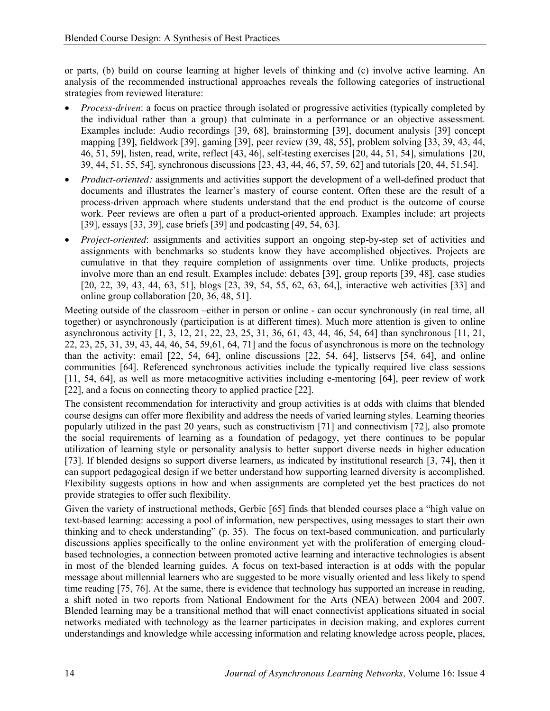or parts, (b) build on course learning at higher levels of thinking and (c) involve active learning. An analysis of the recommended instructional approaches reveals the following categories of instructional strategies from reviewed literature:

- *Process-driven*: a focus on practice through isolated or progressive activities (typically completed by the individual rather than a group) that culminate in a performance or an objective assessment. Examples include: Audio recordings [39, 68], brainstorming [39], document analysis [39] concept mapping [39], fieldwork [39], gaming [39], peer review (39, 48, 55], problem solving [33, 39, 43, 44, 46, 51, 59], listen, read, write, reflect [43, 46], self-testing exercises [20, 44, 51, 54], simulations [20, 39, 44, 51, 55, 54], synchronous discussions [23, 43, 44, 46, 57, 59, 62] and tutorials [20, 44, 51,54].
- *Product-oriented:* assignments and activities support the development of a well-defined product that documents and illustrates the learner's mastery of course content. Often these are the result of a process-driven approach where students understand that the end product is the outcome of course work. Peer reviews are often a part of a product-oriented approach. Examples include: art projects [39], essays [33, 39], case briefs [39] and podcasting [49, 54, 63].
- *Project-oriented*: assignments and activities support an ongoing step-by-step set of activities and assignments with benchmarks so students know they have accomplished objectives. Projects are cumulative in that they require completion of assignments over time. Unlike products, projects involve more than an end result. Examples include: debates [39], group reports [39, 48], case studies [20, 22, 39, 43, 44, 63, 51], blogs [23, 39, 54, 55, 62, 63, 64,], interactive web activities [33] and online group collaboration [20, 36, 48, 51].

Meeting outside of the classroom –either in person or online - can occur synchronously (in real time, all together) or asynchronously (participation is at different times). Much more attention is given to online asynchronous activity [1, 3, 12, 21, 22, 23, 25, 31, 36, 61, 43, 44, 46, 54, 64] than synchronous [11, 21, 22, 23, 25, 31, 39, 43, 44, 46, 54, 59,61, 64, 71] and the focus of asynchronous is more on the technology than the activity: email [22, 54, 64], online discussions [22, 54, 64], listservs [54, 64], and online communities [64]. Referenced synchronous activities include the typically required live class sessions [11, 54, 64], as well as more metacognitive activities including e-mentoring [64], peer review of work [22], and a focus on connecting theory to applied practice [22].

The consistent recommendation for interactivity and group activities is at odds with claims that blended course designs can offer more flexibility and address the needs of varied learning styles. Learning theories popularly utilized in the past 20 years, such as constructivism [71] and connectivism [72], also promote the social requirements of learning as a foundation of pedagogy, yet there continues to be popular utilization of learning style or personality analysis to better support diverse needs in higher education [73]. If blended designs so support diverse learners, as indicated by institutional research [3, 74], then it can support pedagogical design if we better understand how supporting learned diversity is accomplished. Flexibility suggests options in how and when assignments are completed yet the best practices do not provide strategies to offer such flexibility.

Given the variety of instructional methods, Gerbic [65] finds that blended courses place a "high value on text-based learning: accessing a pool of information, new perspectives, using messages to start their own thinking and to check understanding" (p. 35). The focus on text-based communication, and particularly discussions applies specifically to the online environment yet with the proliferation of emerging cloudbased technologies, a connection between promoted active learning and interactive technologies is absent in most of the blended learning guides. A focus on text-based interaction is at odds with the popular message about millennial learners who are suggested to be more visually oriented and less likely to spend time reading [75, 76]. At the same, there is evidence that technology has supported an increase in reading, a shift noted in two reports from National Endowment for the Arts (NEA) between 2004 and 2007. Blended learning may be a transitional method that will enact connectivist applications situated in social networks mediated with technology as the learner participates in decision making, and explores current understandings and knowledge while accessing information and relating knowledge across people, places,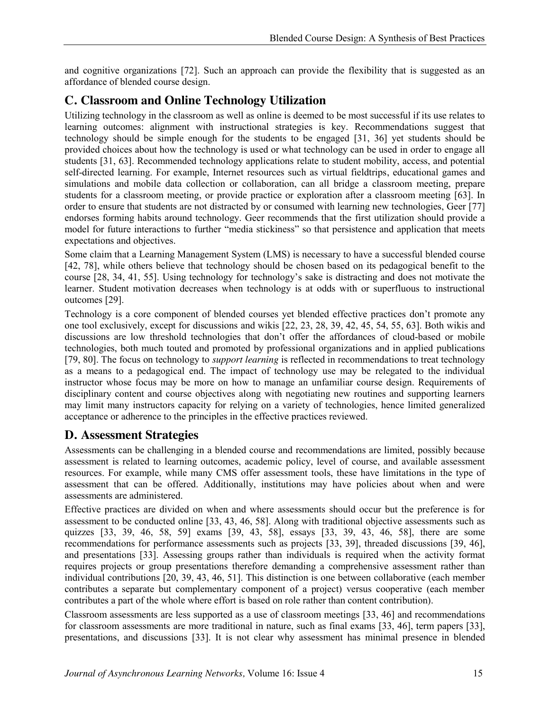and cognitive organizations [72]. Such an approach can provide the flexibility that is suggested as an affordance of blended course design.

# **C. Classroom and Online Technology Utilization**

Utilizing technology in the classroom as well as online is deemed to be most successful if its use relates to learning outcomes: alignment with instructional strategies is key. Recommendations suggest that technology should be simple enough for the students to be engaged [31, 36] yet students should be provided choices about how the technology is used or what technology can be used in order to engage all students [31, 63]. Recommended technology applications relate to student mobility, access, and potential self-directed learning. For example, Internet resources such as virtual fieldtrips, educational games and simulations and mobile data collection or collaboration, can all bridge a classroom meeting, prepare students for a classroom meeting, or provide practice or exploration after a classroom meeting [63]. In order to ensure that students are not distracted by or consumed with learning new technologies, Geer [77] endorses forming habits around technology. Geer recommends that the first utilization should provide a model for future interactions to further "media stickiness" so that persistence and application that meets expectations and objectives.

Some claim that a Learning Management System (LMS) is necessary to have a successful blended course [42, 78], while others believe that technology should be chosen based on its pedagogical benefit to the course [28, 34, 41, 55]. Using technology for technology's sake is distracting and does not motivate the learner. Student motivation decreases when technology is at odds with or superfluous to instructional outcomes [29].

Technology is a core component of blended courses yet blended effective practices don't promote any one tool exclusively, except for discussions and wikis [22, 23, 28, 39, 42, 45, 54, 55, 63]. Both wikis and discussions are low threshold technologies that don't offer the affordances of cloud-based or mobile technologies, both much touted and promoted by professional organizations and in applied publications [79, 80]. The focus on technology to *support learning* is reflected in recommendations to treat technology as a means to a pedagogical end. The impact of technology use may be relegated to the individual instructor whose focus may be more on how to manage an unfamiliar course design. Requirements of disciplinary content and course objectives along with negotiating new routines and supporting learners may limit many instructors capacity for relying on a variety of technologies, hence limited generalized acceptance or adherence to the principles in the effective practices reviewed.

## **D. Assessment Strategies**

Assessments can be challenging in a blended course and recommendations are limited, possibly because assessment is related to learning outcomes, academic policy, level of course, and available assessment resources. For example, while many CMS offer assessment tools, these have limitations in the type of assessment that can be offered. Additionally, institutions may have policies about when and were assessments are administered.

Effective practices are divided on when and where assessments should occur but the preference is for assessment to be conducted online [33, 43, 46, 58]. Along with traditional objective assessments such as quizzes [33, 39, 46, 58, 59] exams [39, 43, 58], essays [33, 39, 43, 46, 58], there are some recommendations for performance assessments such as projects [33, 39], threaded discussions [39, 46], and presentations [33]. Assessing groups rather than individuals is required when the activity format requires projects or group presentations therefore demanding a comprehensive assessment rather than individual contributions [20, 39, 43, 46, 51]. This distinction is one between collaborative (each member contributes a separate but complementary component of a project) versus cooperative (each member contributes a part of the whole where effort is based on role rather than content contribution).

Classroom assessments are less supported as a use of classroom meetings [33, 46] and recommendations for classroom assessments are more traditional in nature, such as final exams [33, 46], term papers [33], presentations, and discussions [33]. It is not clear why assessment has minimal presence in blended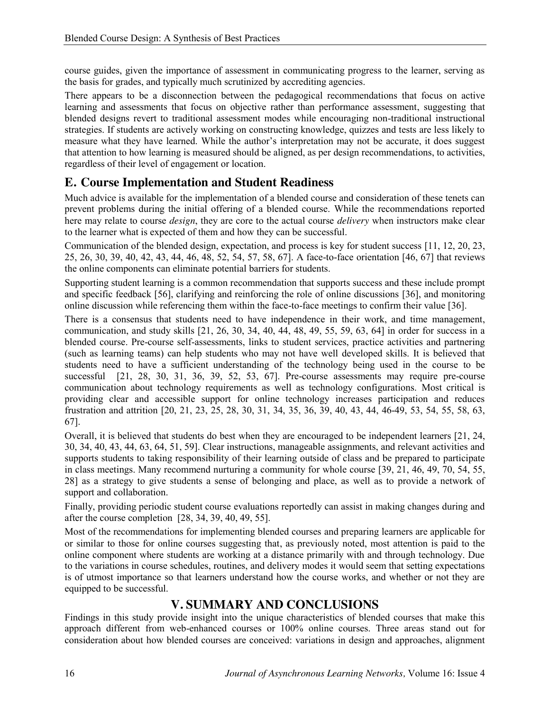course guides, given the importance of assessment in communicating progress to the learner, serving as the basis for grades, and typically much scrutinized by accrediting agencies.

There appears to be a disconnection between the pedagogical recommendations that focus on active learning and assessments that focus on objective rather than performance assessment, suggesting that blended designs revert to traditional assessment modes while encouraging non-traditional instructional strategies. If students are actively working on constructing knowledge, quizzes and tests are less likely to measure what they have learned. While the author's interpretation may not be accurate, it does suggest that attention to how learning is measured should be aligned, as per design recommendations, to activities, regardless of their level of engagement or location.

# **E. Course Implementation and Student Readiness**

Much advice is available for the implementation of a blended course and consideration of these tenets can prevent problems during the initial offering of a blended course. While the recommendations reported here may relate to course *design*, they are core to the actual course *delivery* when instructors make clear to the learner what is expected of them and how they can be successful.

Communication of the blended design, expectation, and process is key for student success [11, 12, 20, 23, 25, 26, 30, 39, 40, 42, 43, 44, 46, 48, 52, 54, 57, 58, 67]. A face-to-face orientation [46, 67] that reviews the online components can eliminate potential barriers for students.

Supporting student learning is a common recommendation that supports success and these include prompt and specific feedback [56], clarifying and reinforcing the role of online discussions [36], and monitoring online discussion while referencing them within the face-to-face meetings to confirm their value [36].

There is a consensus that students need to have independence in their work, and time management, communication, and study skills [21, 26, 30, 34, 40, 44, 48, 49, 55, 59, 63, 64] in order for success in a blended course. Pre-course self-assessments, links to student services, practice activities and partnering (such as learning teams) can help students who may not have well developed skills. It is believed that students need to have a sufficient understanding of the technology being used in the course to be successful [21, 28, 30, 31, 36, 39, 52, 53, 67]. Pre-course assessments may require pre-course communication about technology requirements as well as technology configurations. Most critical is providing clear and accessible support for online technology increases participation and reduces frustration and attrition [20, 21, 23, 25, 28, 30, 31, 34, 35, 36, 39, 40, 43, 44, 46-49, 53, 54, 55, 58, 63, 67].

Overall, it is believed that students do best when they are encouraged to be independent learners [21, 24, 30, 34, 40, 43, 44, 63, 64, 51, 59]. Clear instructions, manageable assignments, and relevant activities and supports students to taking responsibility of their learning outside of class and be prepared to participate in class meetings. Many recommend nurturing a community for whole course [39, 21, 46, 49, 70, 54, 55, 28] as a strategy to give students a sense of belonging and place, as well as to provide a network of support and collaboration.

Finally, providing periodic student course evaluations reportedly can assist in making changes during and after the course completion [28, 34, 39, 40, 49, 55].

Most of the recommendations for implementing blended courses and preparing learners are applicable for or similar to those for online courses suggesting that, as previously noted, most attention is paid to the online component where students are working at a distance primarily with and through technology. Due to the variations in course schedules, routines, and delivery modes it would seem that setting expectations is of utmost importance so that learners understand how the course works, and whether or not they are equipped to be successful.

## **V. SUMMARY AND CONCLUSIONS**

Findings in this study provide insight into the unique characteristics of blended courses that make this approach different from web-enhanced courses or 100% online courses. Three areas stand out for consideration about how blended courses are conceived: variations in design and approaches, alignment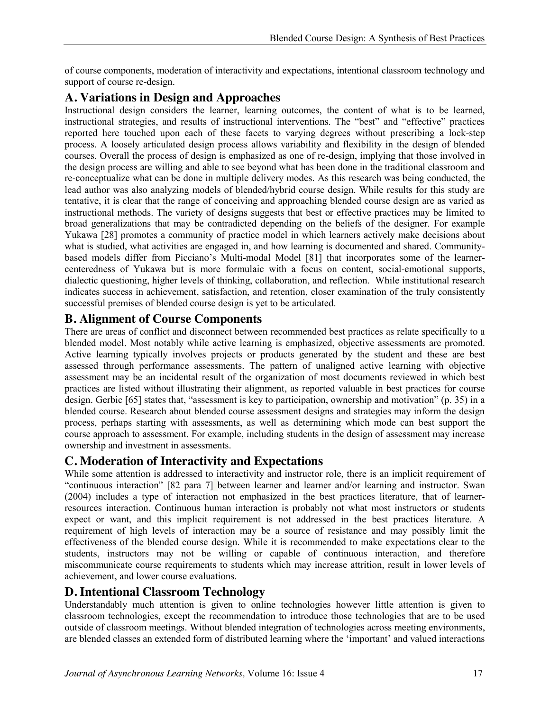of course components, moderation of interactivity and expectations, intentional classroom technology and support of course re-design.

# **A. Variations in Design and Approaches**

Instructional design considers the learner, learning outcomes, the content of what is to be learned, instructional strategies, and results of instructional interventions. The "best" and "effective" practices reported here touched upon each of these facets to varying degrees without prescribing a lock-step process. A loosely articulated design process allows variability and flexibility in the design of blended courses. Overall the process of design is emphasized as one of re-design, implying that those involved in the design process are willing and able to see beyond what has been done in the traditional classroom and re-conceptualize what can be done in multiple delivery modes. As this research was being conducted, the lead author was also analyzing models of blended/hybrid course design. While results for this study are tentative, it is clear that the range of conceiving and approaching blended course design are as varied as instructional methods. The variety of designs suggests that best or effective practices may be limited to broad generalizations that may be contradicted depending on the beliefs of the designer. For example Yukawa [28] promotes a community of practice model in which learners actively make decisions about what is studied, what activities are engaged in, and how learning is documented and shared. Communitybased models differ from Picciano's Multi-modal Model [81] that incorporates some of the learnercenteredness of Yukawa but is more formulaic with a focus on content, social-emotional supports, dialectic questioning, higher levels of thinking, collaboration, and reflection. While institutional research indicates success in achievement, satisfaction, and retention, closer examination of the truly consistently successful premises of blended course design is yet to be articulated.

## **B. Alignment of Course Components**

There are areas of conflict and disconnect between recommended best practices as relate specifically to a blended model. Most notably while active learning is emphasized, objective assessments are promoted. Active learning typically involves projects or products generated by the student and these are best assessed through performance assessments. The pattern of unaligned active learning with objective assessment may be an incidental result of the organization of most documents reviewed in which best practices are listed without illustrating their alignment, as reported valuable in best practices for course design. Gerbic [65] states that, "assessment is key to participation, ownership and motivation" (p. 35) in a blended course. Research about blended course assessment designs and strategies may inform the design process, perhaps starting with assessments, as well as determining which mode can best support the course approach to assessment. For example, including students in the design of assessment may increase ownership and investment in assessments.

# **C. Moderation of Interactivity and Expectations**

While some attention is addressed to interactivity and instructor role, there is an implicit requirement of "continuous interaction" [82 para 7] between learner and learner and/or learning and instructor. Swan (2004) includes a type of interaction not emphasized in the best practices literature, that of learnerresources interaction. Continuous human interaction is probably not what most instructors or students expect or want, and this implicit requirement is not addressed in the best practices literature. A requirement of high levels of interaction may be a source of resistance and may possibly limit the effectiveness of the blended course design. While it is recommended to make expectations clear to the students, instructors may not be willing or capable of continuous interaction, and therefore miscommunicate course requirements to students which may increase attrition, result in lower levels of achievement, and lower course evaluations.

#### **D. Intentional Classroom Technology**

Understandably much attention is given to online technologies however little attention is given to classroom technologies, except the recommendation to introduce those technologies that are to be used outside of classroom meetings. Without blended integration of technologies across meeting environments, are blended classes an extended form of distributed learning where the 'important' and valued interactions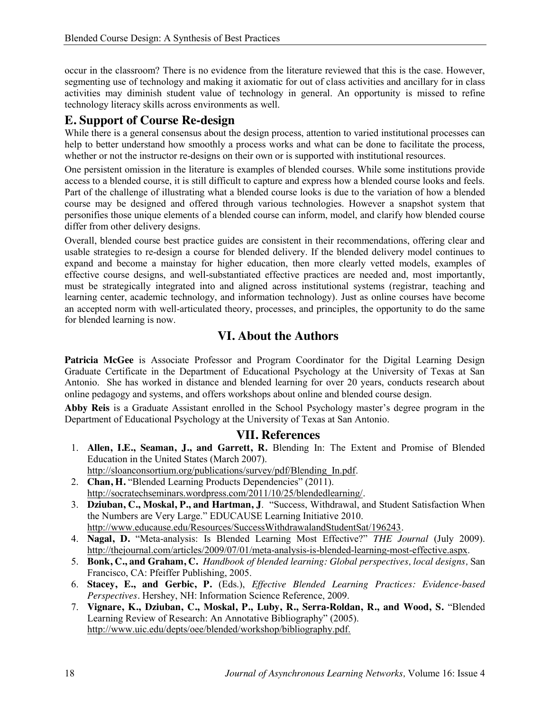occur in the classroom? There is no evidence from the literature reviewed that this is the case. However, segmenting use of technology and making it axiomatic for out of class activities and ancillary for in class activities may diminish student value of technology in general. An opportunity is missed to refine technology literacy skills across environments as well.

#### **E. Support of Course Re-design**

While there is a general consensus about the design process, attention to varied institutional processes can help to better understand how smoothly a process works and what can be done to facilitate the process, whether or not the instructor re-designs on their own or is supported with institutional resources.

One persistent omission in the literature is examples of blended courses. While some institutions provide access to a blended course, it is still difficult to capture and express how a blended course looks and feels. Part of the challenge of illustrating what a blended course looks is due to the variation of how a blended course may be designed and offered through various technologies. However a snapshot system that personifies those unique elements of a blended course can inform, model, and clarify how blended course differ from other delivery designs.

Overall, blended course best practice guides are consistent in their recommendations, offering clear and usable strategies to re-design a course for blended delivery. If the blended delivery model continues to expand and become a mainstay for higher education, then more clearly vetted models, examples of effective course designs, and well-substantiated effective practices are needed and, most importantly, must be strategically integrated into and aligned across institutional systems (registrar, teaching and learning center, academic technology, and information technology). Just as online courses have become an accepted norm with well-articulated theory, processes, and principles, the opportunity to do the same for blended learning is now.

#### **VI. About the Authors**

**Patricia McGee** is Associate Professor and Program Coordinator for the Digital Learning Design Graduate Certificate in the Department of Educational Psychology at the University of Texas at San Antonio. She has worked in distance and blended learning for over 20 years, conducts research about online pedagogy and systems, and offers workshops about online and blended course design.

**Abby Reis** is a Graduate Assistant enrolled in the School Psychology master's degree program in the Department of Educational Psychology at the University of Texas at San Antonio.

#### **VII. References**

- 1. **Allen, I.E., Seaman, J., and Garrett, R.** Blending In: The Extent and Promise of Blended Education in the United States (March 2007).
- http://sloanconsortium.org/publications/survey/pdf/Blending\_In.pdf.
- 2. **Chan, H.** "Blended Learning Products Dependencies" (2011). http://socratechseminars.wordpress.com/2011/10/25/blendedlearning/.
- 3. **Dziuban, C., Moskal, P., and Hartman, J**. "Success, Withdrawal, and Student Satisfaction When the Numbers are Very Large." EDUCAUSE Learning Initiative 2010. http://www.educause.edu/Resources/SuccessWithdrawalandStudentSat/196243.
- 4. **Nagal, D.** "Meta-analysis: Is Blended Learning Most Effective?" *THE Journal* (July 2009). http://thejournal.com/articles/2009/07/01/meta-analysis-is-blended-learning-most-effective.aspx.
- 5. **Bonk, C., and Graham, C.** *Handbook of blended learning: Global perspectives, local designs,* San Francisco, CA: Pfeiffer Publishing, 2005.
- 6. **Stacey, E., and Gerbic, P.** (Eds.), *Effective Blended Learning Practices: Evidence-based Perspectives.* Hershey, NH: Information Science Reference, 2009.
- 7. **Vignare, K., Dziuban, C., Moskal, P., Luby, R., Serra-Roldan, R., and Wood, S.** "Blended Learning Review of Research: An Annotative Bibliography" (2005). http://www.uic.edu/depts/oee/blended/workshop/bibliography.pdf.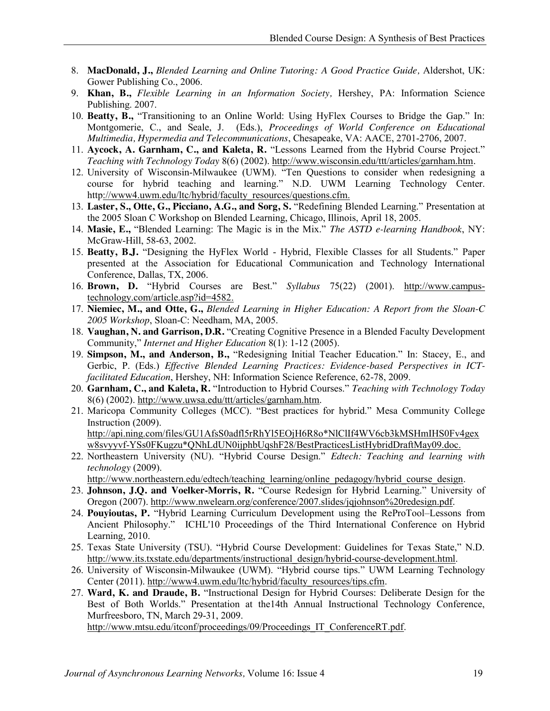- 8. **MacDonald, J.,** *Blended Learning and Online Tutoring: A Good Practice Guide,* Aldershot, UK: Gower Publishing Co., 2006.
- 9. **Khan, B.,** *Flexible Learning in an Information Society,* Hershey, PA: Information Science Publishing. 2007.
- 10. **Beatty, B.,** "Transitioning to an Online World: Using HyFlex Courses to Bridge the Gap." In: Montgomerie, C., and Seale, J. (Eds.), *Proceedings of World Conference on Educational Multimedia, Hypermedia and Telecommunications*, Chesapeake, VA: AACE, 2701-2706, 2007.
- 11. **Aycock, A. Garnham, C., and Kaleta, R.** "Lessons Learned from the Hybrid Course Project." *Teaching with Technology Today* 8(6) (2002). http://www.wisconsin.edu/ttt/articles/garnham.htm*.*
- 12. University of Wisconsin-Milwaukee (UWM). "Ten Questions to consider when redesigning a course for hybrid teaching and learning." N.D. UWM Learning Technology Center. http://www4.uwm.edu/ltc/hybrid/faculty\_resources/questions.cfm.
- 13. **Laster, S., Otte, G., Picciano, A.G., and Sorg, S.** "Redefining Blended Learning." Presentation at the 2005 Sloan C Workshop on Blended Learning, Chicago, Illinois, April 18, 2005.
- 14. **Masie, E.,** "Blended Learning: The Magic is in the Mix." *The ASTD e-learning Handbook*, NY: McGraw-Hill, 58-63, 2002.
- 15. **Beatty, B.J.** "Designing the HyFlex World Hybrid, Flexible Classes for all Students." Paper presented at the Association for Educational Communication and Technology International Conference, Dallas, TX, 2006.
- 16. **Brown, D.** "Hybrid Courses are Best." *Syllabus* 75(22) (2001). http://www.campustechnology.com/article.asp?id=4582.
- 17. **Niemiec, M., and Otte, G.,** *Blended Learning in Higher Education: A Report from the Sloan-C 2005 Workshop*, Sloan-C: Needham, MA, 2005.
- 18. **Vaughan, N. and Garrison, D.R.** "Creating Cognitive Presence in a Blended Faculty Development Community," *Internet and Higher Education* 8(1): 1-12 (2005).
- 19. **Simpson, M., and Anderson, B.,** "Redesigning Initial Teacher Education." In: Stacey, E., and Gerbic, P. (Eds.) *Effective Blended Learning Practices: Evidence-based Perspectives in ICTfacilitated Education*, Hershey, NH: Information Science Reference, 62-78, 2009.
- 20. **Garnham, C., and Kaleta, R.** "Introduction to Hybrid Courses." *Teaching with Technology Today* 8(6) (2002). http://www.uwsa.edu/ttt/articles/garnham.htm.
- 21. Maricopa Community Colleges (MCC). "Best practices for hybrid." Mesa Community College Instruction (2009). http://api.ning.com/files/GU1AfsS0adfl5rRhYl5EOjH6R8o\*NlClIf4WV6cb3kMSHmIHS0Fv4gex w8svyyvf-YSs0FKugzu\*QNhLdUN0ijphbUqshF28/BestPracticesListHybridDraftMay09.doc.
- 22. Northeastern University (NU). "Hybrid Course Design." *Edtech: Teaching and learning with technology* (2009).

http://www.northeastern.edu/edtech/teaching\_learning/online\_pedagogy/hybrid\_course\_design.

- 23. **Johnson, J.Q. and Voelker-Morris, R.** "Course Redesign for Hybrid Learning." University of Oregon (2007). http://www.nwelearn.org/conference/2007.slides/jqjohnson%20redesign.pdf.
- 24. **Pouyioutas, P.** "Hybrid Learning Curriculum Development using the ReProTool–Lessons from Ancient Philosophy." ICHL'10 Proceedings of the Third International Conference on Hybrid Learning, 2010.
- 25. Texas State University (TSU). "Hybrid Course Development: Guidelines for Texas State," N.D. http://www.its.txstate.edu/departments/instructional\_design/hybrid-course-development.html.
- 26. University of Wisconsin-Milwaukee (UWM). "Hybrid course tips." UWM Learning Technology Center (2011). http://www4.uwm.edu/ltc/hybrid/faculty\_resources/tips.cfm.
- 27. **Ward, K. and Draude, B.** "Instructional Design for Hybrid Courses: Deliberate Design for the Best of Both Worlds." Presentation at the14th Annual Instructional Technology Conference, Murfreesboro, TN, March 29-31, 2009.

http://www.mtsu.edu/itconf/proceedings/09/Proceedings IT\_ConferenceRT.pdf.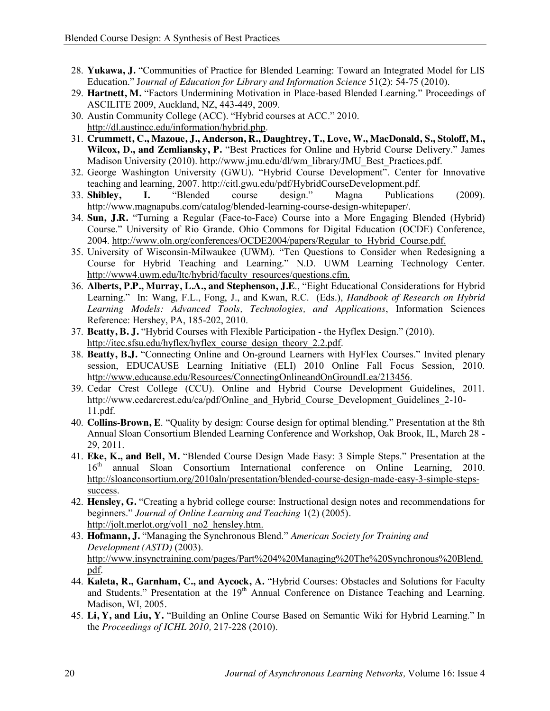- 28. **Yukawa, J.** "Communities of Practice for Blended Learning: Toward an Integrated Model for LIS Education." J*ournal of Education for Library and Information Science* 51(2): 54-75 (2010).
- 29. **Hartnett, M.** "Factors Undermining Motivation in Place-based Blended Learning." Proceedings of ASCILITE 2009, Auckland, NZ, 443-449, 2009.
- 30. Austin Community College (ACC). "Hybrid courses at ACC." 2010. http://dl.austincc.edu/information/hybrid.php.
- 31. **Crummett, C., Mazoue, J., Anderson, R., Daughtrey, T., Love, W., MacDonald, S., Stoloff, M., Wilcox, D., and Zemliansky, P.** "Best Practices for Online and Hybrid Course Delivery." James Madison University (2010). http://www.jmu.edu/dl/wm\_library/JMU\_Best\_Practices.pdf.
- 32. George Washington University (GWU). "Hybrid Course Development"*.* Center for Innovative teaching and learning, 2007. http://citl.gwu.edu/pdf/HybridCourseDevelopment.pdf.
- 33. **Shibley, I.** "Blended course design." Magna Publications (2009). http://www.magnapubs.com/catalog/blended-learning-course-design-whitepaper/.
- 34. **Sun, J.R.** "Turning a Regular (Face-to-Face) Course into a More Engaging Blended (Hybrid) Course." University of Rio Grande. Ohio Commons for Digital Education (OCDE) Conference, 2004. http://www.oln.org/conferences/OCDE2004/papers/Regular\_to\_Hybrid\_Course.pdf.
- 35. University of Wisconsin-Milwaukee (UWM). "Ten Questions to Consider when Redesigning a Course for Hybrid Teaching and Learning." N.D. UWM Learning Technology Center. http://www4.uwm.edu/ltc/hybrid/faculty\_resources/questions.cfm.
- 36. **Alberts, P.P., Murray, L.A., and Stephenson, J.E**., "Eight Educational Considerations for Hybrid Learning." In: Wang, F.L., Fong, J., and Kwan, R.C. (Eds.), *Handbook of Research on Hybrid Learning Models: Advanced Tools, Technologies, and Applications*, Information Sciences Reference: Hershey, PA, 185-202, 2010.
- 37. **Beatty, B. J.** "Hybrid Courses with Flexible Participation the Hyflex Design." (2010). http://itec.sfsu.edu/hyflex/hyflex\_course\_design\_theory\_2.2.pdf.
- 38. **Beatty, B.J.** "Connecting Online and On-ground Learners with HyFlex Courses." Invited plenary session, EDUCAUSE Learning Initiative (ELI) 2010 Online Fall Focus Session, 2010. http://www.educause.edu/Resources/ConnectingOnlineandOnGroundLea/213456.
- 39. Cedar Crest College (CCU). Online and Hybrid Course Development Guidelines, 2011. http://www.cedarcrest.edu/ca/pdf/Online\_and\_Hybrid\_Course\_Development\_Guidelines\_2-10-11.pdf.
- 40. **Collins-Brown, E**. "Quality by design: Course design for optimal blending." Presentation at the 8th Annual Sloan Consortium Blended Learning Conference and Workshop, Oak Brook, IL, March 28 - 29, 2011.
- 41. **Eke, K., and Bell, M.** "Blended Course Design Made Easy: 3 Simple Steps." Presentation at the 16<sup>th</sup> annual Sloan Consortium International conference on Online Learning, 2010. http://sloanconsortium.org/2010aln/presentation/blended-course-design-made-easy-3-simple-stepssuccess.
- 42. **Hensley, G.** "Creating a hybrid college course: Instructional design notes and recommendations for beginners." *Journal of Online Learning and Teaching* 1(2) (2005)*.*  http://jolt.merlot.org/vol1\_no2\_hensley.htm.
- 43. **Hofmann, J.** "Managing the Synchronous Blend." *American Society for Training and Development (ASTD)* (2003). http://www.insynctraining.com/pages/Part%204%20Managing%20The%20Synchronous%20Blend. pdf.
- 44. **Kaleta, R., Garnham, C., and Aycock, A.** "Hybrid Courses: Obstacles and Solutions for Faculty and Students." Presentation at the 19<sup>th</sup> Annual Conference on Distance Teaching and Learning. Madison, WI, 2005*.*
- 45. **Li, Y, and Liu, Y.** "Building an Online Course Based on Semantic Wiki for Hybrid Learning." In the *Proceedings of ICHL 2010,* 217-228 (2010).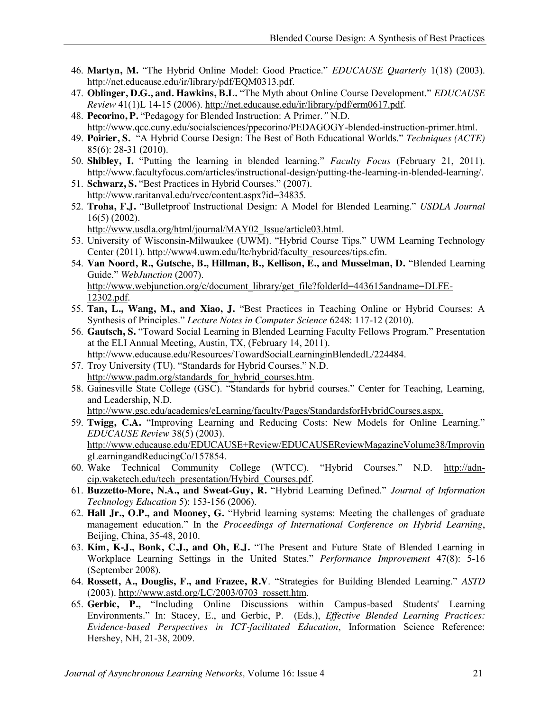- 46. **Martyn, M.** "The Hybrid Online Model: Good Practice." *EDUCAUSE Quarterly* 1(18) (2003). http://net.educause.edu/ir/library/pdf/EQM0313.pdf.
- 47. **Oblinger, D.G., and. Hawkins, B.L.** "The Myth about Online Course Development." *EDUCAUSE Review* 41(1)L 14-15 (2006). http://net.educause.edu/ir/library/pdf/erm0617.pdf.
- 48. **Pecorino, P.** "Pedagogy for Blended Instruction: A Primer.*"* N.D. http://www.qcc.cuny.edu/socialsciences/ppecorino/PEDAGOGY-blended-instruction-primer.html.
- 49. **Poirier, S.** "A Hybrid Course Design: The Best of Both Educational Worlds." *Techniques (ACTE)* 85(6): 28-31 (2010).
- 50. **Shibley, I.** "Putting the learning in blended learning." *Faculty Focus* (February 21, 2011). http://www.facultyfocus.com/articles/instructional-design/putting-the-learning-in-blended-learning/.
- 51. **Schwarz, S.** "Best Practices in Hybrid Courses." (2007). http://www.raritanval.edu/rvcc/content.aspx?id=34835.
- 52. **Troha, F.J.** "Bulletproof Instructional Design: A Model for Blended Learning." *USDLA Journal* 16(5) (2002).
	- http://www.usdla.org/html/journal/MAY02\_Issue/article03.html.
- 53. University of Wisconsin-Milwaukee (UWM). "Hybrid Course Tips." UWM Learning Technology Center (2011). http://www4.uwm.edu/ltc/hybrid/faculty\_resources/tips.cfm.
- 54. **Van Noord, R., Gutsche, B., Hillman, B., Kellison, E., and Musselman, D.** "Blended Learning Guide." *WebJunction* (2007). http://www.webjunction.org/c/document\_library/get\_file?folderId=443615andname=DLFE-12302.pdf.
- 55. **Tan, L., Wang, M., and Xiao, J.** "Best Practices in Teaching Online or Hybrid Courses: A Synthesis of Principles." *Lecture Notes in Computer Science* 6248: 117-12 (2010).
- 56. **Gautsch, S.** "Toward Social Learning in Blended Learning Faculty Fellows Program." Presentation at the ELI Annual Meeting, Austin, TX, (February 14, 2011). http://www.educause.edu/Resources/TowardSocialLearninginBlendedL/224484.
- 57. Troy University (TU). "Standards for Hybrid Courses." N.D. http://www.padm.org/standards\_for\_hybrid\_courses.htm.
- 58. Gainesville State College (GSC). "Standards for hybrid courses." Center for Teaching, Learning, and Leadership, N.D.
	- http://www.gsc.edu/academics/eLearning/faculty/Pages/StandardsforHybridCourses.aspx.
- 59. **Twigg, C.A.** "Improving Learning and Reducing Costs: New Models for Online Learning." *EDUCAUSE Review* 38(5) (2003). http://www.educause.edu/EDUCAUSE+Review/EDUCAUSEReviewMagazineVolume38/Improvin gLearningandReducingCo/157854.
- 60. Wake Technical Community College (WTCC). "Hybrid Courses." N.D. http://adncip.waketech.edu/tech\_presentation/Hybird\_Courses.pdf.
- 61. **Buzzetto-More, N.A., and Sweat-Guy, R.** "Hybrid Learning Defined." *Journal of Information Technology Education* 5): 153-156 (2006).
- 62. **Hall Jr., O.P., and Mooney, G.** "Hybrid learning systems: Meeting the challenges of graduate management education." In the *Proceedings of International Conference on Hybrid Learning*, Beijing, China, 35-48, 2010.
- 63. **Kim, K-J., Bonk, C.J., and Oh, E.J.** "The Present and Future State of Blended Learning in Workplace Learning Settings in the United States." *Performance Improvement* 47(8): 5-16 (September 2008).
- 64. **Rossett, A., Douglis, F., and Frazee, R.V**. "Strategies for Building Blended Learning." *ASTD* (2003). http://www.astd.org/LC/2003/0703\_rossett.htm.
- 65. **Gerbic, P.,** "Including Online Discussions within Campus-based Students' Learning Environments." In: Stacey, E., and Gerbic, P. (Eds.), *Effective Blended Learning Practices: Evidence-based Perspectives in ICT-facilitated Education*, Information Science Reference: Hershey, NH, 21-38, 2009.